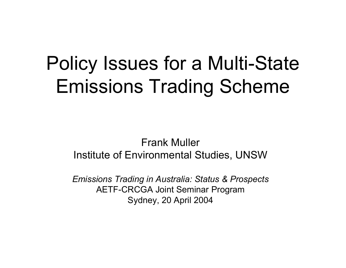#### Policy Issues for a Multi-State Emissions Trading Scheme

#### Frank MullerInstitute of Environmental Studies, UNSW

*Emissions Trading in Australia: Status & Prospects* AETF-CRCGA Joint Seminar Program Sydney, 20 April 2004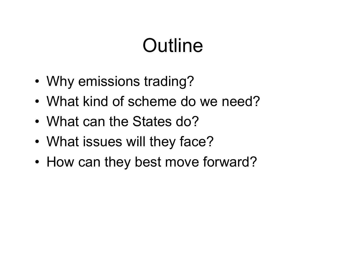## **Outline**

- •Why emissions trading?
- What kind of scheme do we need?
- What can the States do?
- •What issues will they face?
- •• How can they best move forward?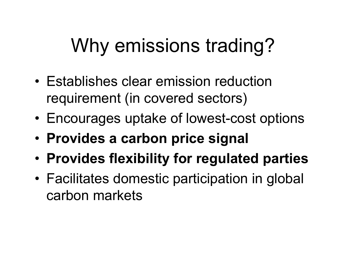# Why emissions trading?

- Establishes clear emission reduction requirement (in covered sectors)
- •Encourages uptake of lowest-cost options
- **Provides a carbon price signal**
- •**Provides flexibility for regulated parties**
- • Facilitates domestic participation in global carbon markets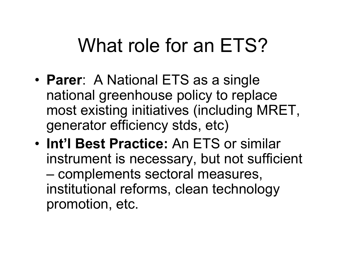### What role for an ETS?

- • **Parer**: A National ETS as a single national greenhouse policy to replace most existing initiatives (including MRET, generator efficiency stds, etc)
- **Int'l Best Practice:** An ETS or similar instrument is necessary, but not sufficient –– complements sectoral measures, institutional reforms, clean technology promotion, etc.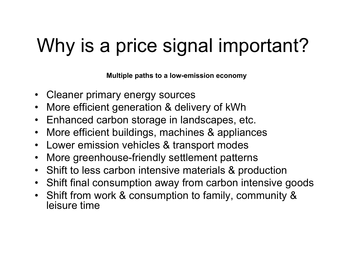# Why is a price signal important?

**Multiple paths to a low-emission economy**

- Cleaner primary energy sources
- •More efficient generation & delivery of kWh
- Enhanced carbon storage in landscapes, etc.
- $\bullet$ More efficient buildings, machines & appliances
- •Lower emission vehicles & transport modes
- •More greenhouse-friendly settlement patterns
- Shift to less carbon intensive materials & production
- Shift final consumption away from carbon intensive goods
- Shift from work & consumption to family, community & leisure time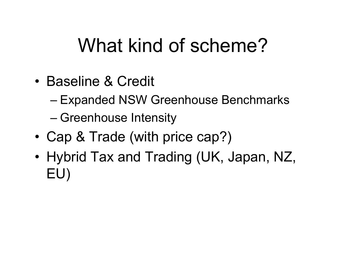### What kind of scheme?

- •Baseline & Credit
	- Expanded NSW Greenhouse Benchmarks
	- Greenhouse Intensity
- •Cap & Trade (with price cap?)
- • Hybrid Tax and Trading (UK, Japan, NZ, EU)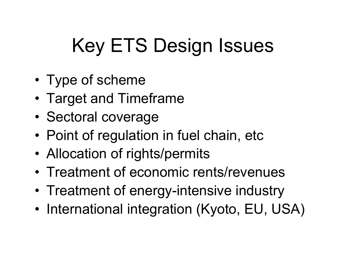# Key ETS Design Issues

- •Type of scheme
- •Target and Timeframe
- •• Sectoral coverage
- •Point of regulation in fuel chain, etc
- •Allocation of rights/permits
- Treatment of economic rents/revenues
- •Treatment of energy-intensive industry
- •• International integration (Kyoto, EU, USA)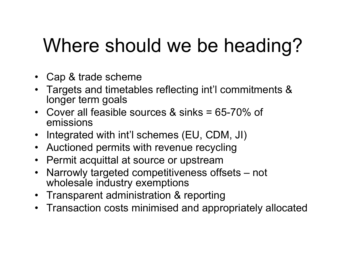## Where should we be heading?

- Cap & trade scheme
- Targets and timetables reflecting int'l commitments & longer term goals
- •Cover all feasible sources & sinks = 65-70% of emissions
- Integrated with int'l schemes (EU, CDM, JI)
- Auctioned permits with revenue recycling
- Permit acquittal at source or upstream
- Narrowly targeted competitiveness offsets not wholesale industry exemptions
- Transparent administration & reporting
- Transaction costs minimised and appropriately allocated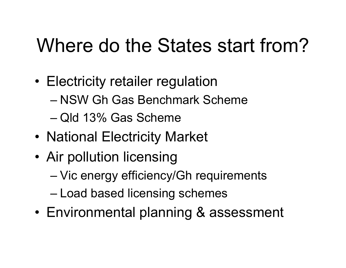### Where do the States start from?

- • Electricity retailer regulation
	- –NSW Gh Gas Benchmark Scheme
	- –Qld 13% Gas Scheme
- •• National Electricity Market
- • Air pollution licensing
	- Vic energy efficiency/Gh requirements
	- –– Load based licensing schemes
- •Environmental planning & assessment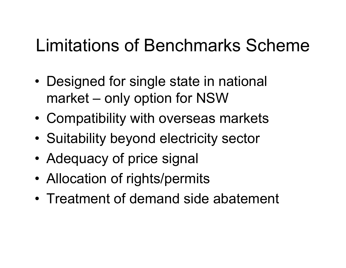#### Limitations of Benchmarks Scheme

- • Designed for single state in national market – only option for NSW
- •Compatibility with overseas markets
- •• Suitability beyond electricity sector
- •• Adequacy of price signal
- •Allocation of rights/permits
- •Treatment of demand side abatement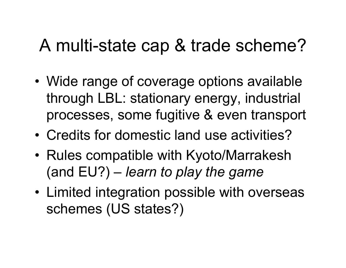#### A multi-state cap & trade scheme?

- • Wide range of coverage options available through LBL: stationary energy, industrial processes, some fugitive & even transport
- •Credits for domestic land use activities?
- • Rules compatible with Kyoto/Marrakesh (and EU?) – *learn to play the game*
- Limited integration possible with overseas schemes (US states?)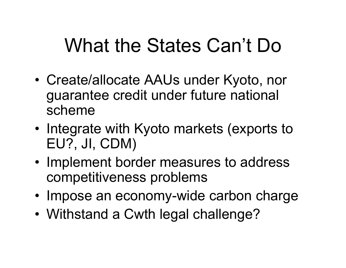### What the States Can't Do

- • Create/allocate AAUs under Kyoto, nor guarantee credit under future national scheme
- •• Integrate with Kyoto markets (exports to EU?, JI, CDM)
- Implement border measures to address competitiveness problems
- Impose an economy-wide carbon charge
- •Withstand a Cwth legal challenge?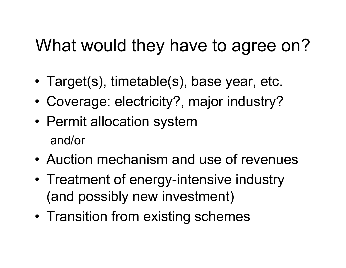#### What would they have to agree on?

- •Target(s), timetable(s), base year, etc.
- •Coverage: electricity?, major industry?
- •• Permit allocation system and/or
- •Auction mechanism and use of revenues
- •• Treatment of energy-intensive industry (and possibly new investment)
- •• Transition from existing schemes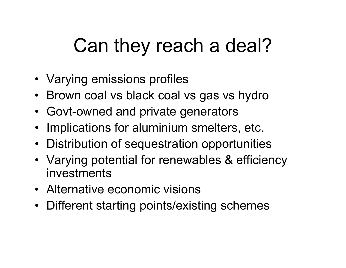## Can they reach a deal?

- Varying emissions profiles
- Brown coal vs black coal vs gas vs hydro
- Govt-owned and private generators
- Implications for aluminium smelters, etc.
- Distribution of sequestration opportunities
- Varying potential for renewables & efficiency investments
- Alternative economic visions
- Different starting points/existing schemes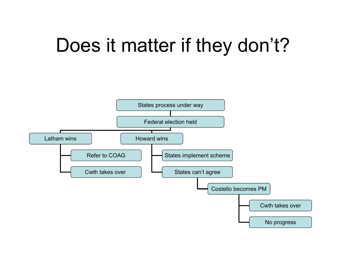### Does it matter if they don't?